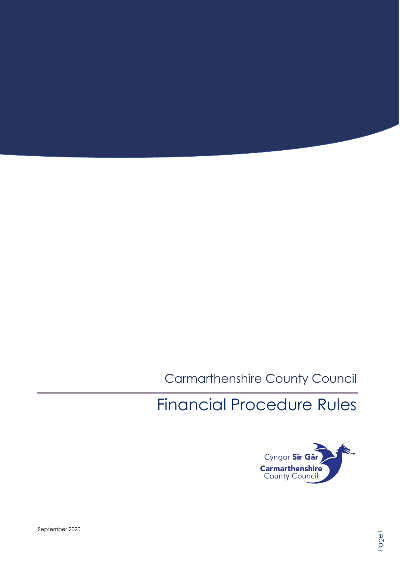# Carmarthenshire County Council

# Financial Procedure Rules

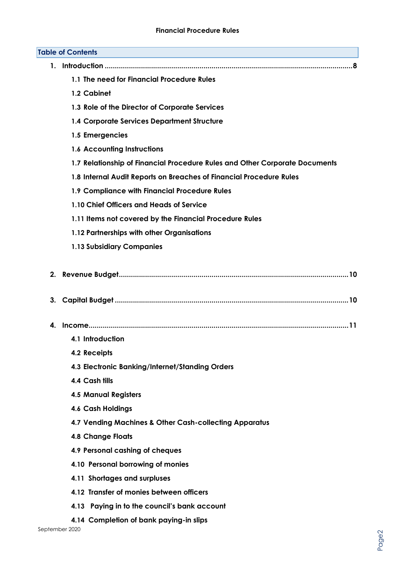| <b>Table of Contents</b> |                                                                             |  |  |  |
|--------------------------|-----------------------------------------------------------------------------|--|--|--|
| 1.                       |                                                                             |  |  |  |
|                          | 1.1 The need for Financial Procedure Rules                                  |  |  |  |
|                          | 1.2 Cabinet                                                                 |  |  |  |
|                          | 1.3 Role of the Director of Corporate Services                              |  |  |  |
|                          | <b>1.4 Corporate Services Department Structure</b>                          |  |  |  |
|                          | 1.5 Emergencies                                                             |  |  |  |
|                          | <b>1.6 Accounting Instructions</b>                                          |  |  |  |
|                          | 1.7 Relationship of Financial Procedure Rules and Other Corporate Documents |  |  |  |
|                          | 1.8 Internal Audit Reports on Breaches of Financial Procedure Rules         |  |  |  |
|                          | 1.9 Compliance with Financial Procedure Rules                               |  |  |  |
|                          | 1.10 Chief Officers and Heads of Service                                    |  |  |  |
|                          | 1.11 Items not covered by the Financial Procedure Rules                     |  |  |  |
|                          | 1.12 Partnerships with other Organisations                                  |  |  |  |
|                          | <b>1.13 Subsidiary Companies</b>                                            |  |  |  |
| 3.                       |                                                                             |  |  |  |
| 4.                       |                                                                             |  |  |  |
|                          | 4.1 Introduction                                                            |  |  |  |
|                          | 4.2 Receipts                                                                |  |  |  |
|                          | 4.3 Electronic Banking/Internet/Standing Orders                             |  |  |  |
|                          | 4.4 Cash tills                                                              |  |  |  |
|                          | <b>4.5 Manual Registers</b>                                                 |  |  |  |
|                          | <b>4.6 Cash Holdings</b>                                                    |  |  |  |
|                          | 4.7 Vending Machines & Other Cash-collecting Apparatus                      |  |  |  |
|                          | <b>4.8 Change Floats</b>                                                    |  |  |  |
|                          | 4.9 Personal cashing of cheques                                             |  |  |  |
|                          | 4.10 Personal borrowing of monies                                           |  |  |  |
|                          | 4.11 Shortages and surpluses                                                |  |  |  |
|                          | 4.12 Transfer of monies between officers                                    |  |  |  |
|                          | 4.13 Paying in to the council's bank account                                |  |  |  |
|                          | 4.14 Completion of bank paying-in slips                                     |  |  |  |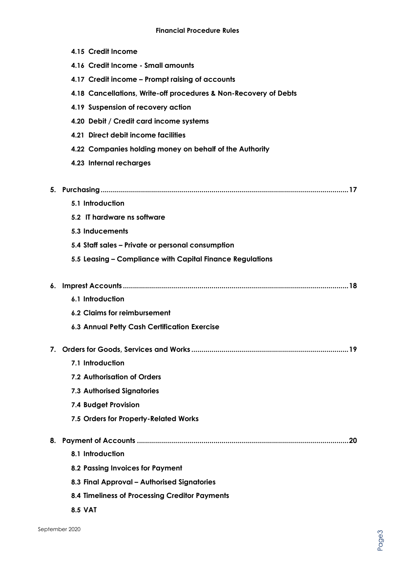|    | 4.15 Credit Income                                                                            |
|----|-----------------------------------------------------------------------------------------------|
|    | 4.16 Credit Income - Small amounts                                                            |
|    | 4.17 Credit income - Prompt raising of accounts                                               |
|    | 4.18 Cancellations, Write-off procedures & Non-Recovery of Debts                              |
|    | 4.19 Suspension of recovery action                                                            |
|    | 4.20 Debit / Credit card income systems                                                       |
|    | 4.21 Direct debit income facilities                                                           |
|    | 4.22 Companies holding money on behalf of the Authority                                       |
|    | 4.23 Internal recharges                                                                       |
|    |                                                                                               |
|    |                                                                                               |
|    | 5.1 Introduction                                                                              |
|    | 5.2 IT hardware ns software                                                                   |
|    | 5.3 Inducements                                                                               |
|    | 5.4 Staff sales - Private or personal consumption                                             |
|    | 5.5 Leasing - Compliance with Capital Finance Regulations                                     |
|    |                                                                                               |
| 6. |                                                                                               |
|    | 6.1 Introduction                                                                              |
|    | 6.2 Claims for reimbursement                                                                  |
|    | 6.3 Annual Petty Cash Certification Exercise                                                  |
|    |                                                                                               |
|    |                                                                                               |
|    | 7.1 Introduction                                                                              |
|    | 7.2 Authorisation of Orders                                                                   |
|    | <b>7.3 Authorised Signatories</b>                                                             |
|    | 7.4 Budget Provision                                                                          |
|    | 7.5 Orders for Property-Related Works                                                         |
|    |                                                                                               |
| 8. | 8.1 Introduction                                                                              |
|    |                                                                                               |
|    | 8.2 Passing Invoices for Payment                                                              |
|    | 8.3 Final Approval - Authorised Signatories<br>8.4 Timeliness of Processing Creditor Payments |

**8.5 VAT**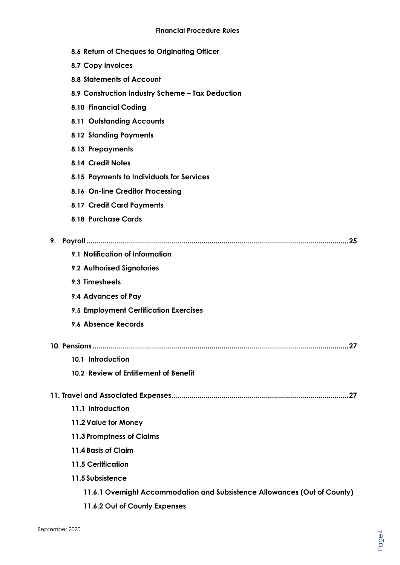|  |  | 8.6 Return of Cheques to Originating Officer |  |
|--|--|----------------------------------------------|--|
|  |  |                                              |  |

- **8.7 Copy Invoices**
- **8.8 Statements of Account**
- **8.9 Construction Industry Scheme – Tax Deduction**
- **8.10 Financial Coding**
- **8.11 Outstanding Accounts**
- **8.12 Standing Payments**
- **8.13 Prepayments**
- **8.14 Credit Notes**
- **8.15 Payments to Individuals for Services**
- **8.16 On-line Creditor Processing**
- **8.17 Credit Card Payments**
- **8.18 Purchase Cards**

| 9.<br>.25                                                                 |
|---------------------------------------------------------------------------|
| 9.1 Notification of Information                                           |
| 9.2 Authorised Signatories                                                |
| 9.3 Timesheets                                                            |
| 9.4 Advances of Pay                                                       |
| 9.5 Employment Certification Exercises                                    |
| 9.6 Absence Records                                                       |
|                                                                           |
| 10.1 Introduction                                                         |
| 10.2 Review of Entitlement of Benefit                                     |
|                                                                           |
| 11.1 Introduction                                                         |
| 11.2 Value for Money                                                      |
| 11.3 Promptness of Claims                                                 |
| 11.4 Basis of Claim                                                       |
| <b>11.5 Certification</b>                                                 |
| 11.5 Subsistence                                                          |
| 11.6.1 Overnight Accommodation and Subsistence Allowances (Out of County) |
| 11.6.2 Out of County Expenses                                             |
|                                                                           |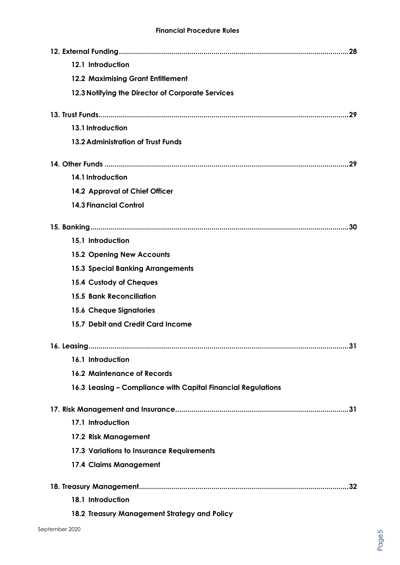| 12.1 Introduction                                            |
|--------------------------------------------------------------|
| <b>12.2 Maximising Grant Entitlement</b>                     |
| 12.3 Notifying the Director of Corporate Services            |
|                                                              |
| 13.1 Introduction                                            |
| 13.2 Administration of Trust Funds                           |
|                                                              |
| 14.1 Introduction                                            |
| 14.2 Approval of Chief Officer                               |
| <b>14.3 Financial Control</b>                                |
| 30                                                           |
| 15.1 Introduction                                            |
| <b>15.2 Opening New Accounts</b>                             |
| <b>15.3 Special Banking Arrangements</b>                     |
| 15.4 Custody of Cheques                                      |
| <b>15.5 Bank Reconciliation</b>                              |
| <b>15.6 Cheque Signatories</b>                               |
| 15.7 Debit and Credit Card Income                            |
|                                                              |
| 16.1 Introduction                                            |
| <b>16.2 Maintenance of Records</b>                           |
| 16.3 Leasing - Compliance with Capital Financial Regulations |
|                                                              |
| 17.1 Introduction                                            |
| 17.2 Risk Management                                         |
| 17.3 Variations to Insurance Requirements                    |
| 17.4 Claims Management                                       |
|                                                              |
| 18.1 Introduction                                            |
| 18.2 Treasury Management Strategy and Policy                 |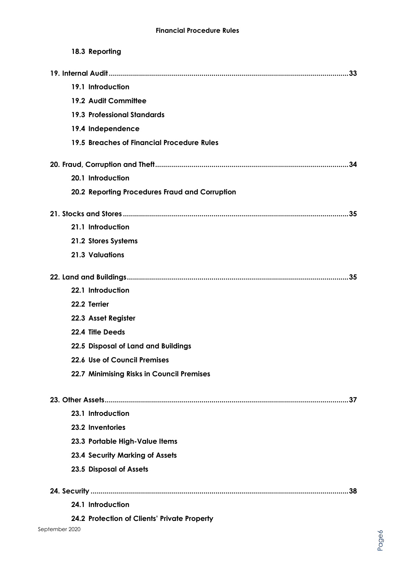| 18.3 Reporting                                 |
|------------------------------------------------|
|                                                |
| 19.1 Introduction                              |
| 19.2 Audit Committee                           |
| <b>19.3 Professional Standards</b>             |
| 19.4 Independence                              |
| 19.5 Breaches of Financial Procedure Rules     |
| .34                                            |
| 20.1 Introduction                              |
| 20.2 Reporting Procedures Fraud and Corruption |
| .35                                            |
| 21.1 Introduction                              |
| 21.2 Stores Systems                            |
| <b>21.3 Valuations</b>                         |
|                                                |
| 22.1 Introduction                              |
| 22.2 Terrier                                   |
| 22.3 Asset Register                            |
| 22.4 Title Deeds                               |
| 22.5 Disposal of Land and Buildings            |
| 22.6 Use of Council Premises                   |
| 22.7 Minimising Risks in Council Premises      |
|                                                |
| 23.1 Introduction                              |
| 23.2 Inventories                               |
| 23.3 Portable High-Value Items                 |
| 23.4 Security Marking of Assets                |
| 23.5 Disposal of Assets                        |
| .38                                            |
| 24.1 Introduction                              |
| 24.2 Protection of Clients' Private Property   |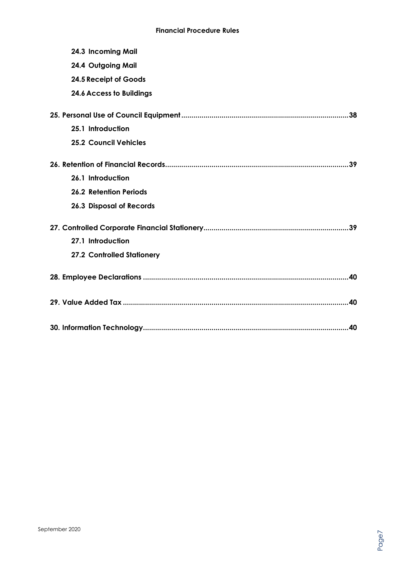| 24.3 Incoming Mail              |  |
|---------------------------------|--|
| 24.4 Outgoing Mail              |  |
| 24.5 Receipt of Goods           |  |
| <b>24.6 Access to Buildings</b> |  |
|                                 |  |
| 25.1 Introduction               |  |
| <b>25.2 Council Vehicles</b>    |  |
|                                 |  |
| 26.1 Introduction               |  |
| <b>26.2 Retention Periods</b>   |  |
| <b>26.3 Disposal of Records</b> |  |
|                                 |  |
| 27.1 Introduction               |  |
| 27.2 Controlled Stationery      |  |
|                                 |  |
|                                 |  |
|                                 |  |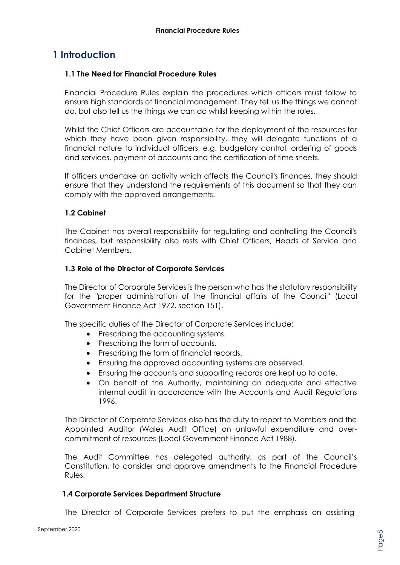# **1 Introduction**

#### **1.1 The Need for Financial Procedure Rules**

Financial Procedure Rules explain the procedures which officers must follow to ensure high standards of financial management. They tell us the things we cannot do, but also tell us the things we can do whilst keeping within the rules.

Whilst the Chief Officers are accountable for the deployment of the resources for which they have been given responsibility, they will delegate functions of a financial nature to individual officers, e.g. budgetary control, ordering of goods and services, payment of accounts and the certification of time sheets.

If officers undertake an activity which affects the Council's finances, they should ensure that they understand the requirements of this document so that they can comply with the approved arrangements.

#### **1.2 Cabinet**

The Cabinet has overall responsibility for regulating and controlling the Council's finances, but responsibility also rests with Chief Officers, Heads of Service and Cabinet Members.

#### **1.3 Role of the Director of Corporate Services**

The Director of Corporate Services is the person who has the statutory responsibility for the "proper administration of the financial affairs of the Council" (Local Government Finance Act 1972, section 151).

The specific duties of the Director of Corporate Services include:

- Prescribing the accounting systems.
- Prescribing the form of accounts.
- Prescribing the form of financial records.
- Ensuring the approved accounting systems are observed.
- Ensuring the accounts and supporting records are kept up to date.
- On behalf of the Authority, maintaining an adequate and effective internal audit in accordance with the Accounts and Audit Regulations 1996.

The Director of Corporate Services also has the duty to report to Members and the Appointed Auditor (Wales Audit Office) on unlawful expenditure and overcommitment of resources (Local Government Finance Act 1988).

The Audit Committee has delegated authority, as part of the Council's Constitution, to consider and approve amendments to the Financial Procedure Rules.

#### **1.4 Corporate Services Department Structure**

The Director of Corporate Services prefers to put the emphasis on assisting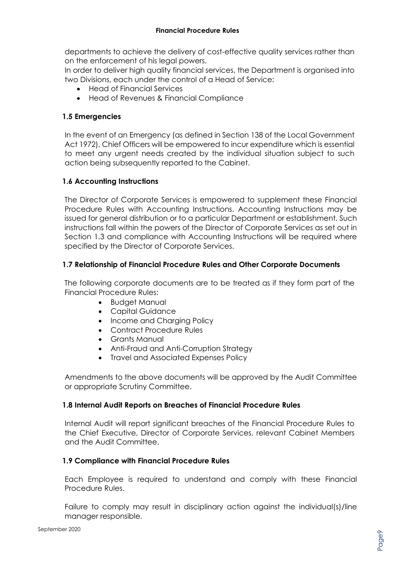departments to achieve the delivery of cost-effective quality services rather than on the enforcement of his legal powers.

In order to deliver high quality financial services, the Department is organised into two Divisions, each under the control of a Head of Service:

- Head of Financial Services
- Head of Revenues & Financial Compliance

#### **1.5 Emergencies**

In the event of an Emergency (as defined in Section 138 of the Local Government Act 1972), Chief Officers will be empowered to incur expenditure which is essential to meet any urgent needs created by the individual situation subject to such action being subsequently reported to the Cabinet.

#### **1.6 Accounting Instructions**

The Director of Corporate Services is empowered to supplement these Financial Procedure Rules with Accounting Instructions. Accounting Instructions may be issued for general distribution or to a particular Department or establishment. Such instructions fall within the powers of the Director of Corporate Services as set out in Section 1.3 and compliance with Accounting Instructions will be required where specified by the Director of Corporate Services.

#### **1.7 Relationship of Financial Procedure Rules and Other Corporate Documents**

The following corporate documents are to be treated as if they form part of the Financial Procedure Rules:

- Budget Manual
- Capital Guidance
- Income and Charging Policy
- Contract Procedure Rules
- Grants Manual
- Anti-Fraud and Anti-Corruption Strategy
- Travel and Associated Expenses Policy

Amendments to the above documents will be approved by the Audit Committee or appropriate Scrutiny Committee.

#### **1.8 Internal Audit Reports on Breaches of Financial Procedure Rules**

Internal Audit will report significant breaches of the Financial Procedure Rules to the Chief Executive, Director of Corporate Services, relevant Cabinet Members and the Audit Committee.

#### **1.9 Compliance with Financial Procedure Rules**

Each Employee is required to understand and comply with these Financial Procedure Rules.

Failure to comply may result in disciplinary action against the individual(s)/line manager responsible.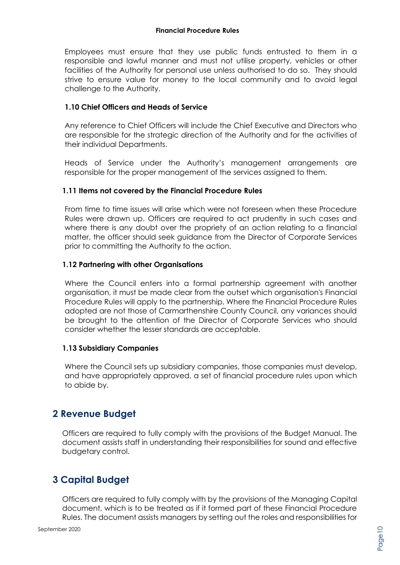Employees must ensure that they use public funds entrusted to them in a responsible and lawful manner and must not utilise property, vehicles or other facilities of the Authority for personal use unless authorised to do so. They should strive to ensure value for money to the local community and to avoid legal challenge to the Authority.

#### **1.10 Chief Officers and Heads of Service**

Any reference to Chief Officers will include the Chief Executive and Directors who are responsible for the strategic direction of the Authority and for the activities of their individual Departments.

Heads of Service under the Authority's management arrangements are responsible for the proper management of the services assigned to them.

#### **1.11 Items not covered by the Financial Procedure Rules**

From time to time issues will arise which were not foreseen when these Procedure Rules were drawn up. Officers are required to act prudently in such cases and where there is any doubt over the propriety of an action relating to a financial matter, the officer should seek guidance from the Director of Corporate Services prior to committing the Authority to the action.

#### **1.12 Partnering with other Organisations**

Where the Council enters into a formal partnership agreement with another organisation, it must be made clear from the outset which organisation's Financial Procedure Rules will apply to the partnership. Where the Financial Procedure Rules adopted are not those of Carmarthenshire County Council, any variances should be brought to the attention of the Director of Corporate Services who should consider whether the lesser standards are acceptable.

#### **1.13 Subsidiary Companies**

Where the Council sets up subsidiary companies, those companies must develop, and have appropriately approved, a set of financial procedure rules upon which to abide by.

### **2 Revenue Budget**

Officers are required to fully comply with the provisions of the Budget Manual. The document assists staff in understanding their responsibilities for sound and effective budgetary control.

# **3 Capital Budget**

Officers are required to fully comply with by the provisions of the Managing Capital document, which is to be treated as if it formed part of these Financial Procedure Rules. The document assists managers by setting out the roles and responsibilities for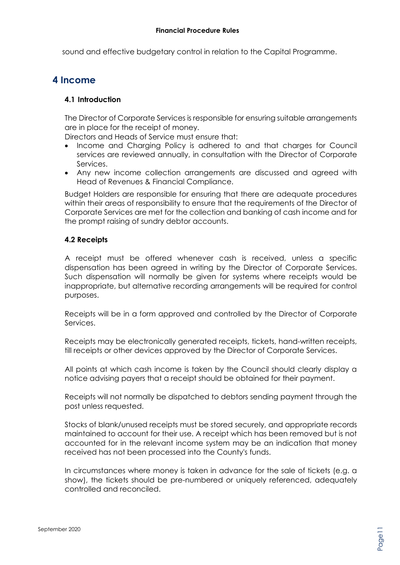sound and effective budgetary control in relation to the Capital Programme.

### **4 Income**

#### **4.1 Introduction**

The Director of Corporate Services is responsible for ensuring suitable arrangements are in place for the receipt of money.

Directors and Heads of Service must ensure that:

- Income and Charging Policy is adhered to and that charges for Council services are reviewed annually, in consultation with the Director of Corporate Services.
- Any new income collection arrangements are discussed and agreed with Head of Revenues & Financial Compliance.

Budget Holders are responsible for ensuring that there are adequate procedures within their areas of responsibility to ensure that the requirements of the Director of Corporate Services are met for the collection and banking of cash income and for the prompt raising of sundry debtor accounts.

#### **4.2 Receipts**

A receipt must be offered whenever cash is received, unless a specific dispensation has been agreed in writing by the Director of Corporate Services. Such dispensation will normally be given for systems where receipts would be inappropriate, but alternative recording arrangements will be required for control purposes.

Receipts will be in a form approved and controlled by the Director of Corporate Services.

Receipts may be electronically generated receipts, tickets, hand-written receipts, till receipts or other devices approved by the Director of Corporate Services.

All points at which cash income is taken by the Council should clearly display a notice advising payers that a receipt should be obtained for their payment.

Receipts will not normally be dispatched to debtors sending payment through the post unless requested.

Stocks of blank/unused receipts must be stored securely, and appropriate records maintained to account for their use. A receipt which has been removed but is not accounted for in the relevant income system may be an indication that money received has not been processed into the County's funds.

In circumstances where money is taken in advance for the sale of tickets (e.g. a show), the tickets should be pre-numbered or uniquely referenced, adequately controlled and reconciled.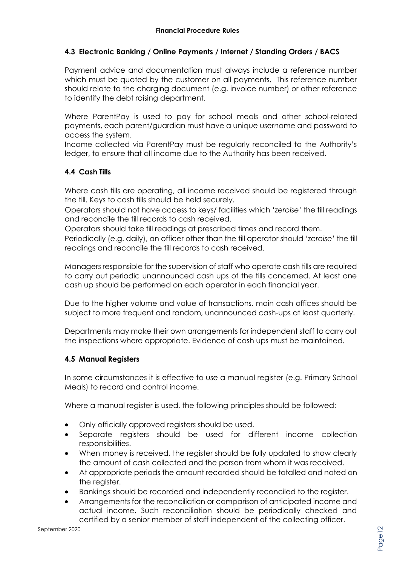#### **4.3 Electronic Banking / Online Payments / Internet / Standing Orders / BACS**

Payment advice and documentation must always include a reference number which must be quoted by the customer on all payments. This reference number should relate to the charging document (e.g. invoice number) or other reference to identify the debt raising department.

Where ParentPay is used to pay for school meals and other school-related payments, each parent/guardian must have a unique username and password to access the system.

Income collected via ParentPay must be regularly reconciled to the Authority's ledger, to ensure that all income due to the Authority has been received.

#### **4.4 Cash Tills**

Where cash tills are operating, all income received should be registered through the till. Keys to cash tills should be held securely.

Operators should not have access to keys/ facilities which '*zeroise*' the till readings and reconcile the till records to cash received.

Operators should take till readings at prescribed times and record them.

Periodically (e.g. daily), an officer other than the till operator should '*zeroise*' the till readings and reconcile the till records to cash received.

Managers responsible for the supervision of staff who operate cash tills are required to carry out periodic unannounced cash ups of the tills concerned. At least one cash up should be performed on each operator in each financial year.

Due to the higher volume and value of transactions, main cash offices should be subject to more frequent and random, unannounced cash-ups at least quarterly.

Departments may make their own arrangements for independent staff to carry out the inspections where appropriate. Evidence of cash ups must be maintained.

#### **4.5 Manual Registers**

In some circumstances it is effective to use a manual register (e.g. Primary School Meals) to record and control income.

Where a manual register is used, the following principles should be followed:

- Only officially approved registers should be used.
- Separate registers should be used for different income collection responsibilities.
- When money is received, the register should be fully updated to show clearly the amount of cash collected and the person from whom it was received.
- At appropriate periods the amount recorded should be totalled and noted on the reaister.
- Bankings should be recorded and independently reconciled to the register.
- Arrangements for the reconciliation or comparison of anticipated income and actual income. Such reconciliation should be periodically checked and certified by a senior member of staff independent of the collecting officer.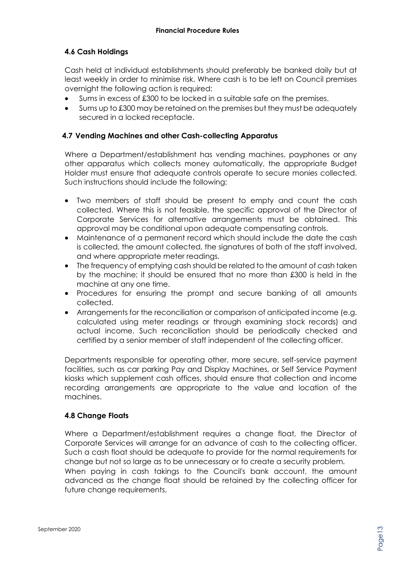#### **4.6 Cash Holdings**

Cash held at individual establishments should preferably be banked daily but at least weekly in order to minimise risk. Where cash is to be left on Council premises overnight the following action is required:

- Sums in excess of £300 to be locked in a suitable safe on the premises.
- Sums up to £300 may be retained on the premises but they must be adequately secured in a locked receptacle.

#### **4.7 Vending Machines and other Cash-collecting Apparatus**

Where a Department/establishment has vending machines, payphones or any other apparatus which collects money automatically, the appropriate Budget Holder must ensure that adequate controls operate to secure monies collected. Such instructions should include the following:

- Two members of staff should be present to empty and count the cash collected. Where this is not feasible, the specific approval of the Director of Corporate Services for alternative arrangements must be obtained. This approval may be conditional upon adequate compensating controls.
- Maintenance of a permanent record which should include the date the cash is collected, the amount collected, the signatures of both of the staff involved, and where appropriate meter readings.
- The frequency of emptying cash should be related to the amount of cash taken by the machine; it should be ensured that no more than £300 is held in the machine at any one time.
- Procedures for ensuring the prompt and secure banking of all amounts collected.
- Arrangements for the reconciliation or comparison of anticipated income (e.g. calculated using meter readings or through examining stock records) and actual income. Such reconciliation should be periodically checked and certified by a senior member of staff independent of the collecting officer.

Departments responsible for operating other, more secure, self-service payment facilities, such as car parking Pay and Display Machines, or Self Service Payment kiosks which supplement cash offices, should ensure that collection and income recording arrangements are appropriate to the value and location of the machines.

#### **4.8 Change Floats**

future change requirements.

Where a Department/establishment requires a change float, the Director of Corporate Services will arrange for an advance of cash to the collecting officer. Such a cash float should be adequate to provide for the normal requirements for change but not so large as to be unnecessary or to create a security problem. When paying in cash takings to the Council's bank account, the amount advanced as the change float should be retained by the collecting officer for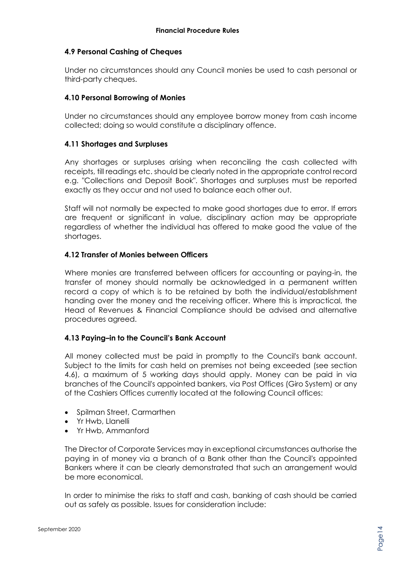#### **4.9 Personal Cashing of Cheques**

Under no circumstances should any Council monies be used to cash personal or third-party cheques.

#### **4.10 Personal Borrowing of Monies**

Under no circumstances should any employee borrow money from cash income collected; doing so would constitute a disciplinary offence.

#### **4.11 Shortages and Surpluses**

Any shortages or surpluses arising when reconciling the cash collected with receipts, till readings etc. should be clearly noted in the appropriate control record e.g. "Collections and Deposit Book". Shortages and surpluses must be reported exactly as they occur and not used to balance each other out.

Staff will not normally be expected to make good shortages due to error. If errors are frequent or significant in value, disciplinary action may be appropriate regardless of whether the individual has offered to make good the value of the shortages.

#### **4.12 Transfer of Monies between Officers**

Where monies are transferred between officers for accounting or paying-in, the transfer of money should normally be acknowledged in a permanent written record a copy of which is to be retained by both the individual/establishment handing over the money and the receiving officer. Where this is impractical, the Head of Revenues & Financial Compliance should be advised and alternative procedures agreed.

#### **4.13 Paying–in to the Council's Bank Account**

All money collected must be paid in promptly to the Council's bank account. Subject to the limits for cash held on premises not being exceeded (see section 4.6), a maximum of 5 working days should apply. Money can be paid in via branches of the Council's appointed bankers, via Post Offices (Giro System) or any of the Cashiers Offices currently located at the following Council offices:

- Spilman Street, Carmarthen
- Yr Hwb, Llanelli
- Yr Hwb, Ammanford

The Director of Corporate Services may in exceptional circumstances authorise the paying in of money via a branch of a Bank other than the Council's appointed Bankers where it can be clearly demonstrated that such an arrangement would be more economical.

In order to minimise the risks to staff and cash, banking of cash should be carried out as safely as possible. Issues for consideration include: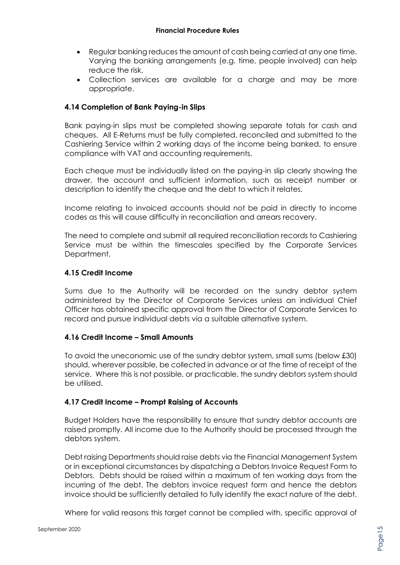- Regular banking reduces the amount of cash being carried at any one time. Varying the banking arrangements (e.g. time, people involved) can help reduce the risk.
- Collection services are available for a charge and may be more appropriate.

#### **4.14 Completion of Bank Paying-in Slips**

Bank paying-in slips must be completed showing separate totals for cash and cheques. All E-Returns must be fully completed, reconciled and submitted to the Cashiering Service within 2 working days of the income being banked, to ensure compliance with VAT and accounting requirements.

Each cheque must be individually listed on the paying-in slip clearly showing the drawer, the account and sufficient information, such as receipt number or description to identify the cheque and the debt to which it relates.

Income relating to invoiced accounts should not be paid in directly to income codes as this will cause difficulty in reconciliation and arrears recovery.

The need to complete and submit all required reconciliation records to Cashiering Service must be within the timescales specified by the Corporate Services Department.

#### **4.15 Credit Income**

Sums due to the Authority will be recorded on the sundry debtor system administered by the Director of Corporate Services unless an individual Chief Officer has obtained specific approval from the Director of Corporate Services to record and pursue individual debts via a suitable alternative system.

#### **4.16 Credit Income – Small Amounts**

To avoid the uneconomic use of the sundry debtor system, small sums (below £30) should, wherever possible, be collected in advance or at the time of receipt of the service. Where this is not possible, or practicable, the sundry debtors system should be utilised.

#### **4.17 Credit Income – Prompt Raising of Accounts**

Budget Holders have the responsibility to ensure that sundry debtor accounts are raised promptly. All income due to the Authority should be processed through the debtors system.

Debt raising Departments should raise debts via the Financial Management System or in exceptional circumstances by dispatching a Debtors Invoice Request Form to Debtors. Debts should be raised within a maximum of ten working days from the incurring of the debt. The debtors invoice request form and hence the debtors invoice should be sufficiently detailed to fully identify the exact nature of the debt.

Where for valid reasons this target cannot be complied with, specific approval of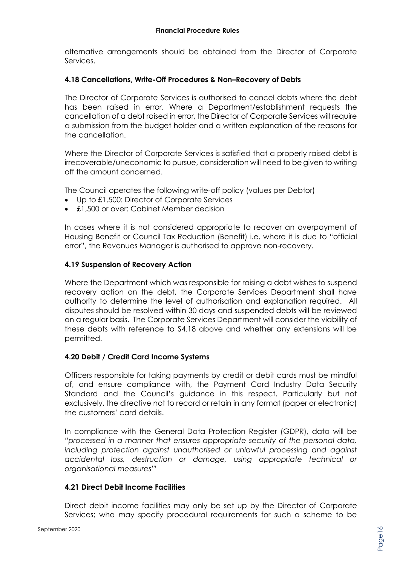alternative arrangements should be obtained from the Director of Corporate Services.

#### **4.18 Cancellations, Write-Off Procedures & Non–Recovery of Debts**

The Director of Corporate Services is authorised to cancel debts where the debt has been raised in error. Where a Department/establishment requests the cancellation of a debt raised in error, the Director of Corporate Services will require a submission from the budget holder and a written explanation of the reasons for the cancellation.

Where the Director of Corporate Services is satisfied that a properly raised debt is irrecoverable/uneconomic to pursue, consideration will need to be given to writing off the amount concerned.

The Council operates the following write-off policy (values per Debtor)

- Up to £1,500: Director of Corporate Services
- £1,500 or over: Cabinet Member decision

In cases where it is not considered appropriate to recover an overpayment of Housing Benefit or Council Tax Reduction (Benefit) i.e. where it is due to "official error", the Revenues Manager is authorised to approve non-recovery.

#### **4.19 Suspension of Recovery Action**

Where the Department which was responsible for raising a debt wishes to suspend recovery action on the debt, the Corporate Services Department shall have authority to determine the level of authorisation and explanation required. All disputes should be resolved within 30 days and suspended debts will be reviewed on a regular basis. The Corporate Services Department will consider the viability of these debts with reference to S4.18 above and whether any extensions will be permitted.

#### **4.20 Debit / Credit Card Income Systems**

Officers responsible for taking payments by credit or debit cards must be mindful of, and ensure compliance with, the Payment Card Industry Data Security Standard and the Council's guidance in this respect. Particularly but not exclusively, the directive not to record or retain in any format (paper or electronic) the customers' card details.

In compliance with the General Data Protection Register (GDPR), data will be *"processed in a manner that ensures appropriate security of the personal data,*  including protection against unauthorised or unlawful processing and against *accidental loss, destruction or damage, using appropriate technical or organisational measures'"*

#### **4.21 Direct Debit Income Facilities**

Direct debit income facilities may only be set up by the Director of Corporate Services; who may specify procedural requirements for such a scheme to be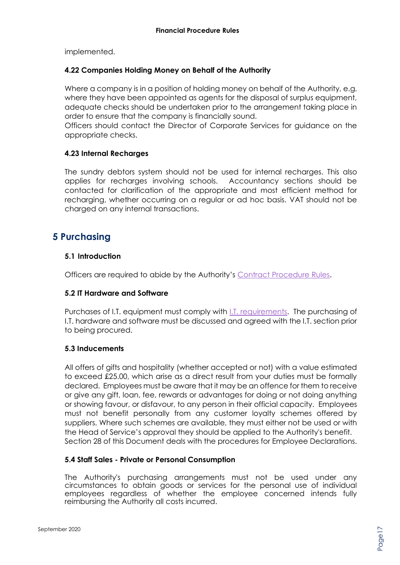implemented.

#### **4.22 Companies Holding Money on Behalf of the Authority**

Where a company is in a position of holding money on behalf of the Authority, e.g. where they have been appointed as agents for the disposal of surplus equipment, adequate checks should be undertaken prior to the arrangement taking place in order to ensure that the company is financially sound.

Officers should contact the Director of Corporate Services for guidance on the appropriate checks.

#### **4.23 Internal Recharges**

The sundry debtors system should not be used for internal recharges. This also applies for recharges involving schools. Accountancy sections should be contacted for clarification of the appropriate and most efficient method for recharging, whether occurring on a regular or ad hoc basis. VAT should not be charged on any internal transactions.

### **5 Purchasing**

#### **5.1 Introduction**

Officers are required to abide by the Authority's [Contract Procedure Rules.](http://intranet/media/659608/contract-procedure-rules-v3-2020.pdf)

#### **5.2 IT Hardware and Software**

Purchases of I.T. equipment must comply with **I.T. requirements**. The purchasing of I.T. hardware and software must be discussed and agreed with the I.T. section prior to being procured.

#### **5.3 Inducements**

All offers of gifts and hospitality (whether accepted or not) with a value estimated to exceed £25.00, which arise as a direct result from your duties must be formally declared. Employees must be aware that it may be an offence for them to receive or give any gift, loan, fee, rewards or advantages for doing or not doing anything or showing favour, or disfavour, to any person in their official capacity. Employees must not benefit personally from any customer loyalty schemes offered by suppliers. Where such schemes are available, they must either not be used or with the Head of Service's approval they should be applied to the Authority's benefit. Section 28 of this Document deals with the procedures for Employee Declarations.

#### **5.4 Staff Sales - Private or Personal Consumption**

The Authority's purchasing arrangements must not be used under any circumstances to obtain goods or services for the personal use of individual employees regardless of whether the employee concerned intends fully reimbursing the Authority all costs incurred.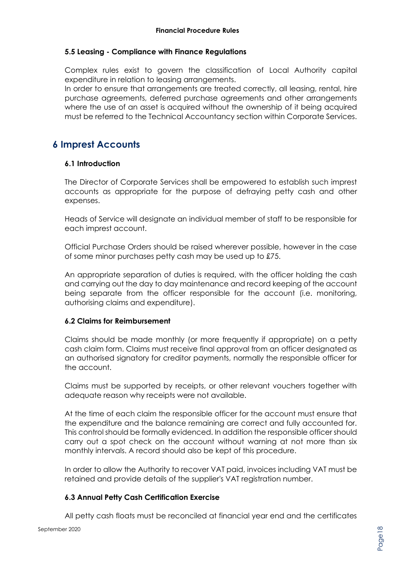#### **5.5 Leasing - Compliance with Finance Regulations**

Complex rules exist to govern the classification of Local Authority capital expenditure in relation to leasing arrangements.

In order to ensure that arrangements are treated correctly, all leasing, rental, hire purchase agreements, deferred purchase agreements and other arrangements where the use of an asset is acquired without the ownership of it being acquired must be referred to the Technical Accountancy section within Corporate Services.

# **6 Imprest Accounts**

#### **6.1 Introduction**

The Director of Corporate Services shall be empowered to establish such imprest accounts as appropriate for the purpose of defraying petty cash and other expenses.

Heads of Service will designate an individual member of staff to be responsible for each imprest account.

Official Purchase Orders should be raised wherever possible, however in the case of some minor purchases petty cash may be used up to £75.

An appropriate separation of duties is required, with the officer holding the cash and carrying out the day to day maintenance and record keeping of the account being separate from the officer responsible for the account (i.e. monitoring, authorising claims and expenditure).

#### **6.2 Claims for Reimbursement**

Claims should be made monthly (or more frequently if appropriate) on a petty cash claim form. Claims must receive final approval from an officer designated as an authorised signatory for creditor payments, normally the responsible officer for the account.

Claims must be supported by receipts, or other relevant vouchers together with adequate reason why receipts were not available.

At the time of each claim the responsible officer for the account must ensure that the expenditure and the balance remaining are correct and fully accounted for. This control should be formally evidenced. In addition the responsible officer should carry out a spot check on the account without warning at not more than six monthly intervals. A record should also be kept of this procedure.

In order to allow the Authority to recover VAT paid, invoices including VAT must be retained and provide details of the supplier's VAT registration number.

#### **6.3 Annual Petty Cash Certification Exercise**

All petty cash floats must be reconciled at financial year end and the certificates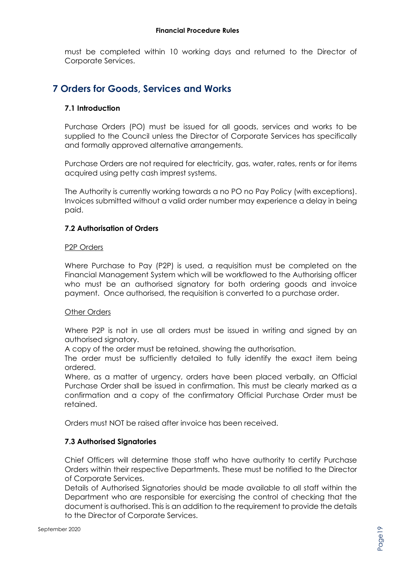must be completed within 10 working days and returned to the Director of Corporate Services.

# **7 Orders for Goods, Services and Works**

#### **7.1 Introduction**

Purchase Orders (PO) must be issued for all goods, services and works to be supplied to the Council unless the Director of Corporate Services has specifically and formally approved alternative arrangements.

Purchase Orders are not required for electricity, gas, water, rates, rents or for items acquired using petty cash imprest systems.

The Authority is currently working towards a no PO no Pay Policy (with exceptions). Invoices submitted without a valid order number may experience a delay in being paid.

#### **7.2 Authorisation of Orders**

#### P2P Orders

Where Purchase to Pay (P2P) is used, a requisition must be completed on the Financial Management System which will be workflowed to the Authorising officer who must be an authorised signatory for both ordering goods and invoice payment. Once authorised, the requisition is converted to a purchase order.

#### Other Orders

Where P2P is not in use all orders must be issued in writing and signed by an authorised signatory.

A copy of the order must be retained, showing the authorisation.

The order must be sufficiently detailed to fully identify the exact item being ordered.

Where, as a matter of urgency, orders have been placed verbally, an Official Purchase Order shall be issued in confirmation. This must be clearly marked as a confirmation and a copy of the confirmatory Official Purchase Order must be retained.

Orders must NOT be raised after invoice has been received.

#### **7.3 Authorised Signatories**

Chief Officers will determine those staff who have authority to certify Purchase Orders within their respective Departments. These must be notified to the Director of Corporate Services.

Details of Authorised Signatories should be made available to all staff within the Department who are responsible for exercising the control of checking that the document is authorised. This is an addition to the requirement to provide the details to the Director of Corporate Services.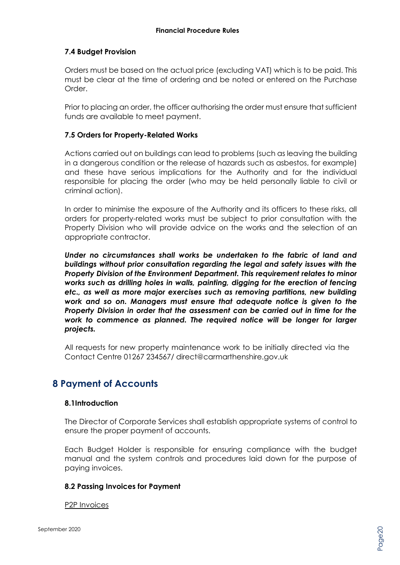#### **7.4 Budget Provision**

Orders must be based on the actual price (excluding VAT) which is to be paid. This must be clear at the time of ordering and be noted or entered on the Purchase Order.

Prior to placing an order, the officer authorising the order must ensure that sufficient funds are available to meet payment.

#### **7.5 Orders for Property-Related Works**

Actions carried out on buildings can lead to problems (such as leaving the building in a dangerous condition or the release of hazards such as asbestos, for example) and these have serious implications for the Authority and for the individual responsible for placing the order (who may be held personally liable to civil or criminal action).

In order to minimise the exposure of the Authority and its officers to these risks, all orders for property-related works must be subject to prior consultation with the Property Division who will provide advice on the works and the selection of an appropriate contractor.

*Under no circumstances shall works be undertaken to the fabric of land and buildings without prior consultation regarding the legal and safety issues with the Property Division of the Environment Department. This requirement relates to minor works such as drilling holes in walls, painting, digging for the erection of fencing etc., as well as more major exercises such as removing partitions, new building work and so on. Managers must ensure that adequate notice is given to the Property Division in order that the assessment can be carried out in time for the work to commence as planned. The required notice will be longer for larger projects.*

All requests for new property maintenance work to be initially directed via the Contact Centre 01267 234567/ direct@carmarthenshire.gov.uk

### **8 Payment of Accounts**

#### **8.1Introduction**

The Director of Corporate Services shall establish appropriate systems of control to ensure the proper payment of accounts.

Each Budget Holder is responsible for ensuring compliance with the budget manual and the system controls and procedures laid down for the purpose of paying invoices.

#### **8.2 Passing Invoices for Payment**

P2P Invoices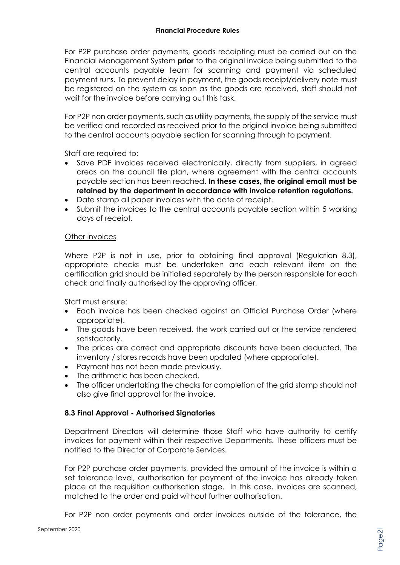For P2P purchase order payments, goods receipting must be carried out on the Financial Management System **prior** to the original invoice being submitted to the central accounts payable team for scanning and payment via scheduled payment runs. To prevent delay in payment, the goods receipt/delivery note must be registered on the system as soon as the goods are received, staff should not wait for the invoice before carrying out this task.

For P2P non order payments, such as utility payments, the supply of the service must be verified and recorded as received prior to the original invoice being submitted to the central accounts payable section for scanning through to payment.

Staff are required to:

- Save PDF invoices received electronically, directly from suppliers, in agreed areas on the council file plan, where agreement with the central accounts payable section has been reached. **In these cases, the original email must be retained by the department in accordance with invoice retention regulations.**
- Date stamp all paper invoices with the date of receipt.
- Submit the invoices to the central accounts payable section within 5 working days of receipt.

#### Other invoices

Where P2P is not in use, prior to obtaining final approval (Regulation 8.3), appropriate checks must be undertaken and each relevant item on the certification grid should be initialled separately by the person responsible for each check and finally authorised by the approving officer.

Staff must ensure:

- Each invoice has been checked against an Official Purchase Order (where appropriate).
- The goods have been received, the work carried out or the service rendered satisfactorily.
- The prices are correct and appropriate discounts have been deducted. The inventory / stores records have been updated (where appropriate).
- Payment has not been made previously.
- The arithmetic has been checked.
- The officer undertaking the checks for completion of the grid stamp should not also give final approval for the invoice.

#### **8.3 Final Approval - Authorised Signatories**

Department Directors will determine those Staff who have authority to certify invoices for payment within their respective Departments. These officers must be notified to the Director of Corporate Services.

For P2P purchase order payments, provided the amount of the invoice is within a set tolerance level, authorisation for payment of the invoice has already taken place at the requisition authorisation stage. In this case, invoices are scanned, matched to the order and paid without further authorisation.

For P2P non order payments and order invoices outside of the tolerance, the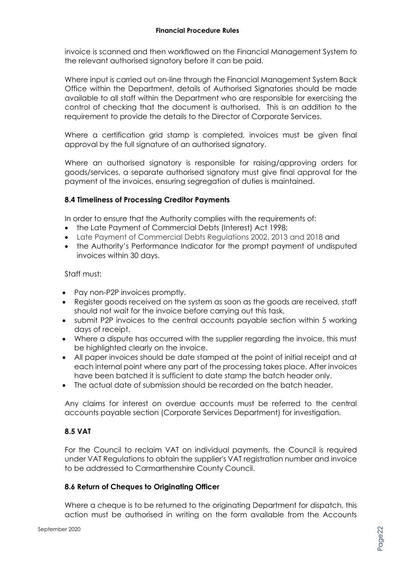invoice is scanned and then workflowed on the Financial Management System to the relevant authorised signatory before it can be paid.

Where input is carried out on-line through the Financial Management System Back Office within the Department, details of Authorised Signatories should be made available to all staff within the Department who are responsible for exercising the control of checking that the document is authorised. This is an addition to the requirement to provide the details to the Director of Corporate Services.

Where a certification grid stamp is completed, invoices must be given final approval by the full signature of an authorised signatory.

Where an authorised signatory is responsible for raising/approving orders for goods/services, a separate authorised signatory must give final approval for the payment of the invoices, ensuring segregation of duties is maintained.

#### **8.4 Timeliness of Processing Creditor Payments**

In order to ensure that the Authority complies with the requirements of:

- the Late Payment of Commercial Debts (Interest) Act 1998;
- Late Payment of Commercial Debts Regulations 2002, 2013 and 2018 and
- the Authority's Performance Indicator for the prompt payment of undisputed invoices within 30 days.

#### Staff must:

- Pay non-P2P invoices promptly.
- Register goods received on the system as soon as the goods are received, staff should not wait for the invoice before carrying out this task.
- submit P2P invoices to the central accounts payable section within 5 working days of receipt.
- Where a dispute has occurred with the supplier regarding the invoice, this must be highlighted clearly on the invoice.
- All paper invoices should be date stamped at the point of initial receipt and at each internal point where any part of the processing takes place. After invoices have been batched it is sufficient to date stamp the batch header only.
- The actual date of submission should be recorded on the batch header.

Any claims for interest on overdue accounts must be referred to the central accounts payable section (Corporate Services Department) for investigation.

#### **8.5 VAT**

For the Council to reclaim VAT on individual payments, the Council is required under VAT Regulations to obtain the supplier's VAT registration number and invoice to be addressed to Carmarthenshire County Council.

#### **8.6 Return of Cheques to Originating Officer**

Where a cheque is to be returned to the originating Department for dispatch, this action must be authorised in writing on the form available from the Accounts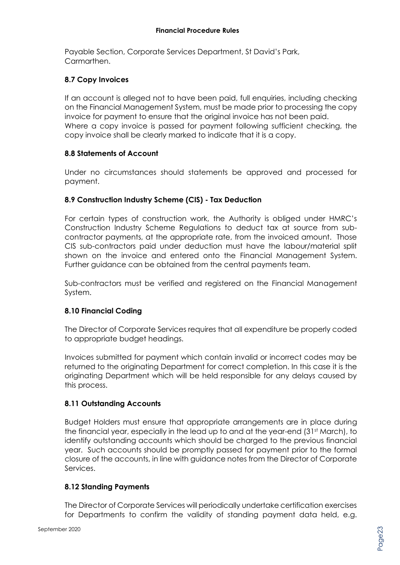Payable Section, Corporate Services Department, St David's Park, Carmarthen.

#### **8.7 Copy Invoices**

If an account is alleged not to have been paid, full enquiries, including checking on the Financial Management System, must be made prior to processing the copy invoice for payment to ensure that the original invoice has not been paid. Where a copy invoice is passed for payment following sufficient checking, the copy invoice shall be clearly marked to indicate that it is a copy.

#### **8.8 Statements of Account**

Under no circumstances should statements be approved and processed for payment.

#### **8.9 Construction Industry Scheme (CIS) - Tax Deduction**

For certain types of construction work, the Authority is obliged under HMRC's Construction Industry Scheme Regulations to deduct tax at source from subcontractor payments, at the appropriate rate, from the invoiced amount. Those CIS sub-contractors paid under deduction must have the labour/material split shown on the invoice and entered onto the Financial Management System. Further guidance can be obtained from the central payments team.

Sub-contractors must be verified and registered on the Financial Management System.

#### **8.10 Financial Coding**

The Director of Corporate Services requires that all expenditure be properly coded to appropriate budget headings.

Invoices submitted for payment which contain invalid or incorrect codes may be returned to the originating Department for correct completion. In this case it is the originating Department which will be held responsible for any delays caused by this process.

#### **8.11 Outstanding Accounts**

Budget Holders must ensure that appropriate arrangements are in place during the financial year, especially in the lead up to and at the year-end (31<sup>st</sup> March), to identify outstanding accounts which should be charged to the previous financial year. Such accounts should be promptly passed for payment prior to the formal closure of the accounts, in line with guidance notes from the Director of Corporate Services.

#### **8.12 Standing Payments**

The Director of Corporate Services will periodically undertake certification exercises for Departments to confirm the validity of standing payment data held, e.g.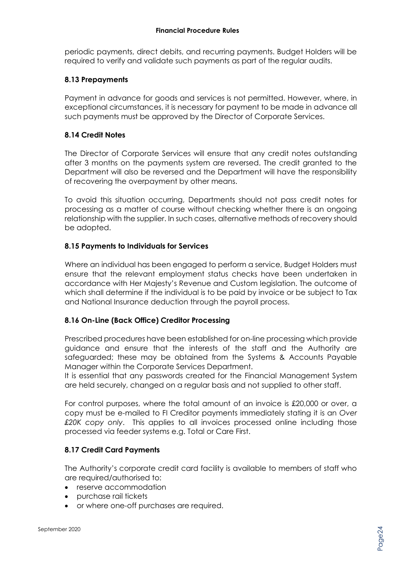periodic payments, direct debits, and recurring payments. Budget Holders will be required to verify and validate such payments as part of the regular audits.

#### **8.13 Prepayments**

Payment in advance for goods and services is not permitted. However, where, in exceptional circumstances, it is necessary for payment to be made in advance all such payments must be approved by the Director of Corporate Services.

#### **8.14 Credit Notes**

The Director of Corporate Services will ensure that any credit notes outstanding after 3 months on the payments system are reversed. The credit granted to the Department will also be reversed and the Department will have the responsibility of recovering the overpayment by other means.

To avoid this situation occurring, Departments should not pass credit notes for processing as a matter of course without checking whether there is an ongoing relationship with the supplier. In such cases, alternative methods of recovery should be adopted.

#### **8.15 Payments to Individuals for Services**

Where an individual has been engaged to perform a service, Budget Holders must ensure that the relevant employment status checks have been undertaken in accordance with Her Majesty's Revenue and Custom legislation. The outcome of which shall determine if the individual is to be paid by invoice or be subject to Tax and National Insurance deduction through the payroll process.

#### **8.16 On-Line (Back Office) Creditor Processing**

Prescribed procedures have been established for on-line processing which provide guidance and ensure that the interests of the staff and the Authority are safeguarded; these may be obtained from the Systems & Accounts Payable Manager within the Corporate Services Department.

It is essential that any passwords created for the Financial Management System are held securely, changed on a regular basis and not supplied to other staff.

For control purposes, where the total amount of an invoice is £20,000 or over, a copy must be e-mailed to FI Creditor payments immediately stating it is an *Over £20K copy only*. This applies to all invoices processed online including those processed via feeder systems e.g. Total or Care First.

#### **8.17 Credit Card Payments**

The Authority's corporate credit card facility is available to members of staff who are required/authorised to:

- reserve accommodation
- purchase rail tickets
- or where one-off purchases are required.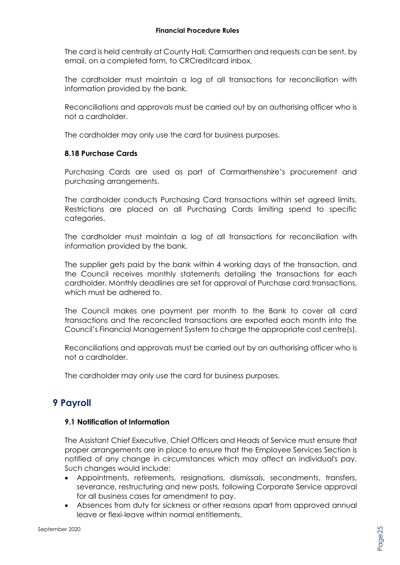The card is held centrally at County Hall, Carmarthen and requests can be sent, by email, on a completed form, to CRCreditcard inbox.

The cardholder must maintain a log of all transactions for reconciliation with information provided by the bank.

Reconciliations and approvals must be carried out by an authorising officer who is not a cardholder.

The cardholder may only use the card for business purposes.

#### **8.18 Purchase Cards**

Purchasing Cards are used as part of Carmarthenshire's procurement and purchasing arrangements.

The cardholder conducts Purchasing Card transactions within set agreed limits. Restrictions are placed on all Purchasing Cards limiting spend to specific categories.

The cardholder must maintain a log of all transactions for reconciliation with information provided by the bank.

The supplier gets paid by the bank within 4 working days of the transaction, and the Council receives monthly statements detailing the transactions for each cardholder. Monthly deadlines are set for approval of Purchase card transactions, which must be adhered to.

The Council makes one payment per month to the Bank to cover all card transactions and the reconciled transactions are exported each month into the Council's Financial Management System to charge the appropriate cost centre(s).

Reconciliations and approvals must be carried out by an authorising officer who is not a cardholder.

The cardholder may only use the card for business purposes.

# **9 Payroll**

#### **9.1 Notification of Information**

The Assistant Chief Executive, Chief Officers and Heads of Service must ensure that proper arrangements are in place to ensure that the Employee Services Section is notified of any change in circumstances which may affect an individual's pay. Such changes would include:

- Appointments, retirements, resignations, dismissals, secondments, transfers, severance, restructuring and new posts, following Corporate Service approval for all business cases for amendment to pay.
- Absences from duty for sickness or other reasons apart from approved annual leave or flexi-leave within normal entitlements.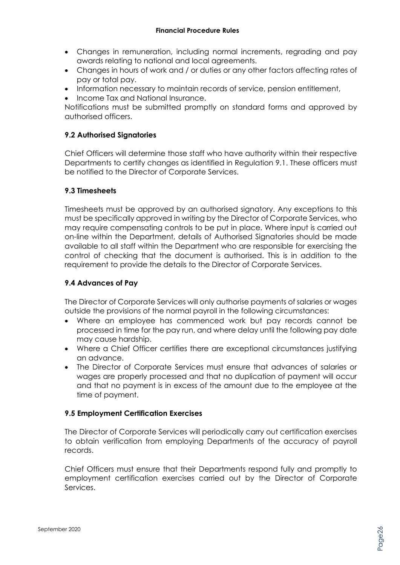- Changes in remuneration, including normal increments, regrading and pay awards relating to national and local agreements.
- Changes in hours of work and / or duties or any other factors affecting rates of pay or total pay.
- Information necessary to maintain records of service, pension entitlement,
- Income Tax and National Insurance.

Notifications must be submitted promptly on standard forms and approved by authorised officers.

#### **9.2 Authorised Signatories**

Chief Officers will determine those staff who have authority within their respective Departments to certify changes as identified in Regulation 9.1. These officers must be notified to the Director of Corporate Services.

#### **9.3 Timesheets**

Timesheets must be approved by an authorised signatory. Any exceptions to this must be specifically approved in writing by the Director of Corporate Services, who may require compensating controls to be put in place. Where input is carried out on-line within the Department, details of Authorised Signatories should be made available to all staff within the Department who are responsible for exercising the control of checking that the document is authorised. This is in addition to the requirement to provide the details to the Director of Corporate Services.

#### **9.4 Advances of Pay**

The Director of Corporate Services will only authorise payments of salaries or wages outside the provisions of the normal payroll in the following circumstances:

- Where an employee has commenced work but pay records cannot be processed in time for the pay run, and where delay until the following pay date may cause hardship.
- Where a Chief Officer certifies there are exceptional circumstances justifying an advance.
- The Director of Corporate Services must ensure that advances of salaries or wages are properly processed and that no duplication of payment will occur and that no payment is in excess of the amount due to the employee at the time of payment.

#### **9.5 Employment Certification Exercises**

The Director of Corporate Services will periodically carry out certification exercises to obtain verification from employing Departments of the accuracy of payroll records.

Chief Officers must ensure that their Departments respond fully and promptly to employment certification exercises carried out by the Director of Corporate Services.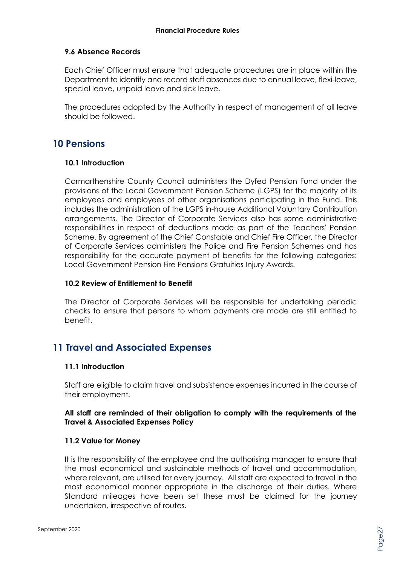#### **9.6 Absence Records**

Each Chief Officer must ensure that adequate procedures are in place within the Department to identify and record staff absences due to annual leave, flexi-leave, special leave, unpaid leave and sick leave.

The procedures adopted by the Authority in respect of management of all leave should be followed.

# **10 Pensions**

#### **10.1 Introduction**

Carmarthenshire County Council administers the Dyfed Pension Fund under the provisions of the Local Government Pension Scheme (LGPS) for the majority of its employees and employees of other organisations participating in the Fund. This includes the administration of the LGPS in-house Additional Voluntary Contribution arrangements. The Director of Corporate Services also has some administrative responsibilities in respect of deductions made as part of the Teachers' Pension Scheme. By agreement of the Chief Constable and Chief Fire Officer, the Director of Corporate Services administers the Police and Fire Pension Schemes and has responsibility for the accurate payment of benefits for the following categories: Local Government Pension Fire Pensions Gratuities Injury Awards.

#### **10.2 Review of Entitlement to Benefit**

The Director of Corporate Services will be responsible for undertaking periodic checks to ensure that persons to whom payments are made are still entitled to benefit.

# **11 Travel and Associated Expenses**

#### **11.1 Introduction**

Staff are eligible to claim travel and subsistence expenses incurred in the course of their employment.

#### **All staff are reminded of their obligation to comply with the requirements of the Travel & Associated Expenses Policy**

#### **11.2 Value for Money**

It is the responsibility of the employee and the authorising manager to ensure that the most economical and sustainable methods of travel and accommodation, where relevant, are utilised for every journey. All staff are expected to travel in the most economical manner appropriate in the discharge of their duties. Where Standard mileages have been set these must be claimed for the journey undertaken, irrespective of routes.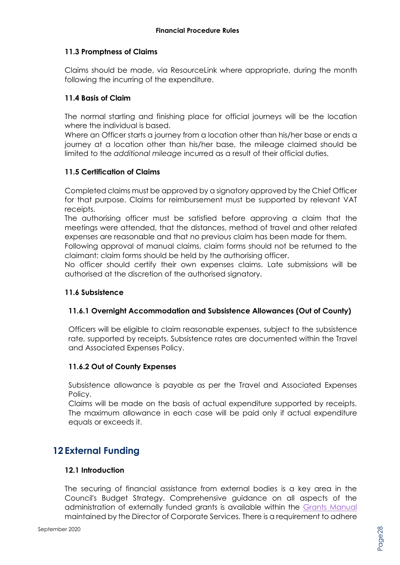#### **11.3 Promptness of Claims**

Claims should be made, via ResourceLink where appropriate, during the month following the incurring of the expenditure.

#### **11.4 Basis of Claim**

The normal starting and finishing place for official journeys will be the location where the individual is based.

Where an Officer starts a journey from a location other than his/her base or ends a journey at a location other than his/her base, the mileage claimed should be limited to the *additional mileage* incurred as a result of their official duties.

#### **11.5 Certification of Claims**

Completed claims must be approved by a signatory approved by the Chief Officer for that purpose. Claims for reimbursement must be supported by relevant VAT receipts.

The authorising officer must be satisfied before approving a claim that the meetings were attended, that the distances, method of travel and other related expenses are reasonable and that no previous claim has been made for them.

Following approval of manual claims, claim forms should not be returned to the claimant; claim forms should be held by the authorising officer.

No officer should certify their own expenses claims. Late submissions will be authorised at the discretion of the authorised signatory.

#### **11.6 Subsistence**

#### **11.6.1 Overnight Accommodation and Subsistence Allowances (Out of County)**

Officers will be eligible to claim reasonable expenses, subject to the subsistence rate, supported by receipts. Subsistence rates are documented within the Travel and Associated Expenses Policy.

#### **11.6.2 Out of County Expenses**

Subsistence allowance is payable as per the Travel and Associated Expenses Policy.

Claims will be made on the basis of actual expenditure supported by receipts. The maximum allowance in each case will be paid only if actual expenditure equals or exceeds it.

# **12 External Funding**

#### **12.1 Introduction**

The securing of financial assistance from external bodies is a key area in the Council's Budget Strategy. Comprehensive guidance on all aspects of the administration of externally funded grants is available within the [Grants Manual](http://intranet/media/657575/project-grants-manual-en.pdf) maintained by the Director of Corporate Services. There is a requirement to adhere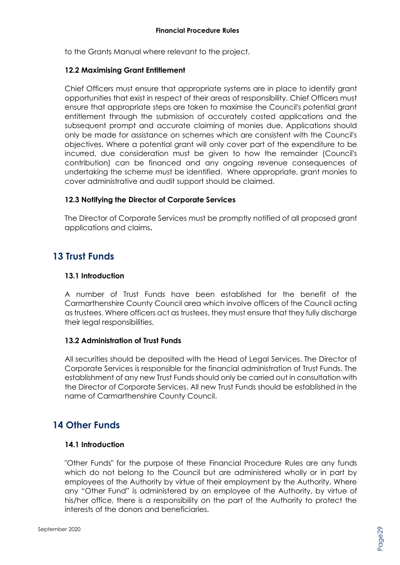to the Grants Manual where relevant to the project.

#### **12.2 Maximising Grant Entitlement**

Chief Officers must ensure that appropriate systems are in place to identify grant opportunities that exist in respect of their areas of responsibility. Chief Officers must ensure that appropriate steps are taken to maximise the Council's potential grant entitlement through the submission of accurately costed applications and the subsequent prompt and accurate claiming of monies due. Applications should only be made for assistance on schemes which are consistent with the Council's objectives. Where a potential grant will only cover part of the expenditure to be incurred, due consideration must be given to how the remainder (Council's contribution) can be financed and any ongoing revenue consequences of undertaking the scheme must be identified. Where appropriate, grant monies to cover administrative and audit support should be claimed.

#### **12.3 Notifying the Director of Corporate Services**

The Director of Corporate Services must be promptly notified of all proposed grant applications and claims**.**

# **13 Trust Funds**

#### **13.1 Introduction**

A number of Trust Funds have been established for the benefit of the Carmarthenshire County Council area which involve officers of the Council acting as trustees. Where officers act as trustees, they must ensure that they fully discharge their legal responsibilities.

#### **13.2 Administration of Trust Funds**

All securities should be deposited with the Head of Legal Services. The Director of Corporate Services is responsible for the financial administration of Trust Funds. The establishment of any new Trust Funds should only be carried out in consultation with the Director of Corporate Services. All new Trust Funds should be established in the name of Carmarthenshire County Council.

# **14 Other Funds**

#### **14.1 Introduction**

"Other Funds" for the purpose of these Financial Procedure Rules are any funds which do not belong to the Council but are administered wholly or in part by employees of the Authority by virtue of their employment by the Authority. Where any "Other Fund" is administered by an employee of the Authority, by virtue of his/her office, there is a responsibility on the part of the Authority to protect the interests of the donors and beneficiaries.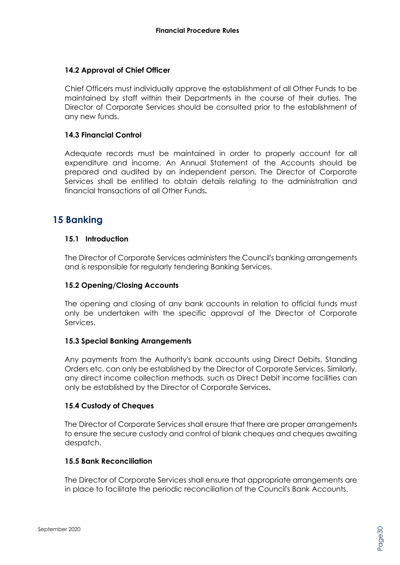#### **14.2 Approval of Chief Officer**

Chief Officers must individually approve the establishment of all Other Funds to be maintained by staff within their Departments in the course of their duties. The Director of Corporate Services should be consulted prior to the establishment of any new funds.

#### **14.3 Financial Control**

Adequate records must be maintained in order to properly account for all expenditure and income. An Annual Statement of the Accounts should be prepared and audited by an independent person. The Director of Corporate Services shall be entitled to obtain details relating to the administration and financial transactions of all Other Funds**.**

# **15 Banking**

#### **15.1 Introduction**

The Director of Corporate Services administers the Council's banking arrangements and is responsible for regularly tendering Banking Services.

#### **15.2 Opening/Closing Accounts**

The opening and closing of any bank accounts in relation to official funds must only be undertaken with the specific approval of the Director of Corporate Services.

#### **15.3 Special Banking Arrangements**

Any payments from the Authority's bank accounts using Direct Debits, Standing Orders etc. can only be established by the Director of Corporate Services. Similarly, any direct income collection methods, such as Direct Debit income facilities can only be established by the Director of Corporate Services**.** 

#### **15.4 Custody of Cheques**

The Director of Corporate Services shall ensure that there are proper arrangements to ensure the secure custody and control of blank cheques and cheques awaiting despatch.

#### **15.5 Bank Reconciliation**

The Director of Corporate Services shall ensure that appropriate arrangements are in place to facilitate the periodic reconciliation of the Council's Bank Accounts.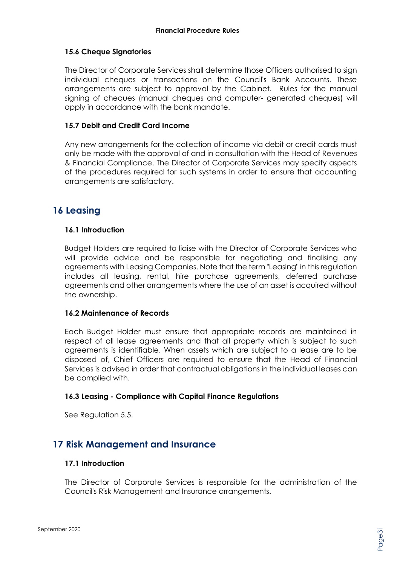#### **15.6 Cheque Signatories**

The Director of Corporate Services shall determine those Officers authorised to sign individual cheques or transactions on the Council's Bank Accounts. These arrangements are subject to approval by the Cabinet. Rules for the manual signing of cheques (manual cheques and computer- generated cheques) will apply in accordance with the bank mandate.

#### **15.7 Debit and Credit Card Income**

Any new arrangements for the collection of income via debit or credit cards must only be made with the approval of and in consultation with the Head of Revenues & Financial Compliance. The Director of Corporate Services may specify aspects of the procedures required for such systems in order to ensure that accounting arrangements are satisfactory.

# **16 Leasing**

#### **16.1 Introduction**

Budget Holders are required to liaise with the Director of Corporate Services who will provide advice and be responsible for negotiating and finalising any agreements with Leasing Companies. Note that the term "Leasing" in this regulation includes all leasing, rental, hire purchase agreements, deferred purchase agreements and other arrangements where the use of an asset is acquired without the ownership.

#### **16.2 Maintenance of Records**

Each Budget Holder must ensure that appropriate records are maintained in respect of all lease agreements and that all property which is subject to such agreements is identifiable. When assets which are subject to a lease are to be disposed of, Chief Officers are required to ensure that the Head of Financial Services is advised in order that contractual obligations in the individual leases can be complied with.

#### **16.3 Leasing - Compliance with Capital Finance Regulations**

See Regulation 5.5.

# **17 Risk Management and Insurance**

#### **17.1 Introduction**

The Director of Corporate Services is responsible for the administration of the Council's Risk Management and Insurance arrangements.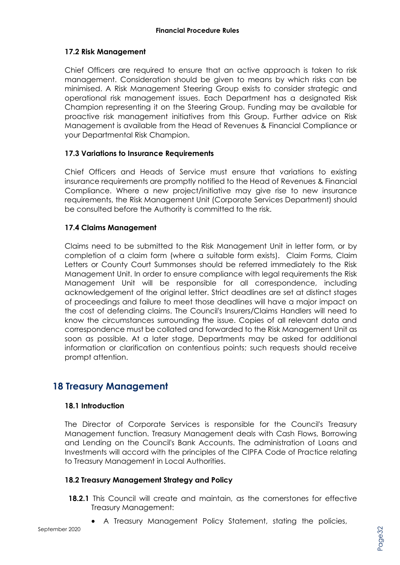#### **17.2 Risk Management**

Chief Officers are required to ensure that an active approach is taken to risk management. Consideration should be given to means by which risks can be minimised. A Risk Management Steering Group exists to consider strategic and operational risk management issues. Each Department has a designated Risk Champion representing it on the Steering Group. Funding may be available for proactive risk management initiatives from this Group. Further advice on Risk Management is available from the Head of Revenues & Financial Compliance or your Departmental Risk Champion.

#### **17.3 Variations to Insurance Requirements**

Chief Officers and Heads of Service must ensure that variations to existing insurance requirements are promptly notified to the Head of Revenues & Financial Compliance. Where a new project/initiative may give rise to new insurance requirements, the Risk Management Unit (Corporate Services Department) should be consulted before the Authority is committed to the risk.

#### **17.4 Claims Management**

Claims need to be submitted to the Risk Management Unit in letter form, or by completion of a claim form (where a suitable form exists). Claim Forms, Claim Letters or County Court Summonses should be referred immediately to the Risk Management Unit. In order to ensure compliance with legal requirements the Risk Management Unit will be responsible for all correspondence, including acknowledgement of the original letter. Strict deadlines are set at distinct stages of proceedings and failure to meet those deadlines will have a major impact on the cost of defending claims. The Council's Insurers/Claims Handlers will need to know the circumstances surrounding the issue. Copies of all relevant data and correspondence must be collated and forwarded to the Risk Management Unit as soon as possible. At a later stage, Departments may be asked for additional information or clarification on contentious points; such requests should receive prompt attention.

### **18 Treasury Management**

#### **18.1 Introduction**

The Director of Corporate Services is responsible for the Council's Treasury Management function. Treasury Management deals with Cash Flows, Borrowing and Lending on the Council's Bank Accounts. The administration of Loans and Investments will accord with the principles of the CIPFA Code of Practice relating to Treasury Management in Local Authorities.

#### **18.2 Treasury Management Strategy and Policy**

- **18.2.1** This Council will create and maintain, as the cornerstones for effective Treasury Management:
	- A Treasury Management Policy Statement, stating the policies,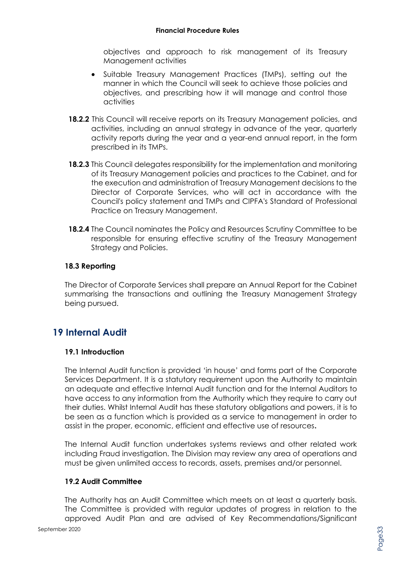objectives and approach to risk management of its Treasury Management activities

- Suitable Treasury Management Practices (TMPs), setting out the manner in which the Council will seek to achieve those policies and objectives, and prescribing how it will manage and control those activities
- **18.2.2** This Council will receive reports on its Treasury Management policies, and activities, including an annual strategy in advance of the year, quarterly activity reports during the year and a year-end annual report, in the form prescribed in its TMPs.
- **18.2.3** This Council delegates responsibility for the implementation and monitoring of its Treasury Management policies and practices to the Cabinet, and for the execution and administration of Treasury Management decisions to the Director of Corporate Services, who will act in accordance with the Council's policy statement and TMPs and CIPFA's Standard of Professional Practice on Treasury Management.
- **18.2.4** The Council nominates the Policy and Resources Scrutiny Committee to be responsible for ensuring effective scrutiny of the Treasury Management Strategy and Policies.

#### **18.3 Reporting**

The Director of Corporate Services shall prepare an Annual Report for the Cabinet summarising the transactions and outlining the Treasury Management Strategy being pursued.

# **19 Internal Audit**

#### **19.1 Introduction**

The Internal Audit function is provided 'in house' and forms part of the Corporate Services Department. It is a statutory requirement upon the Authority to maintain an adequate and effective Internal Audit function and for the Internal Auditors to have access to any information from the Authority which they require to carry out their duties. Whilst Internal Audit has these statutory obligations and powers, it is to be seen as a function which is provided as a service to management in order to assist in the proper, economic, efficient and effective use of resources**.**

The Internal Audit function undertakes systems reviews and other related work including Fraud investigation. The Division may review any area of operations and must be given unlimited access to records, assets, premises and/or personnel.

#### **19.2 Audit Committee**

The Authority has an Audit Committee which meets on at least a quarterly basis. The Committee is provided with regular updates of progress in relation to the approved Audit Plan and are advised of Key Recommendations/Significant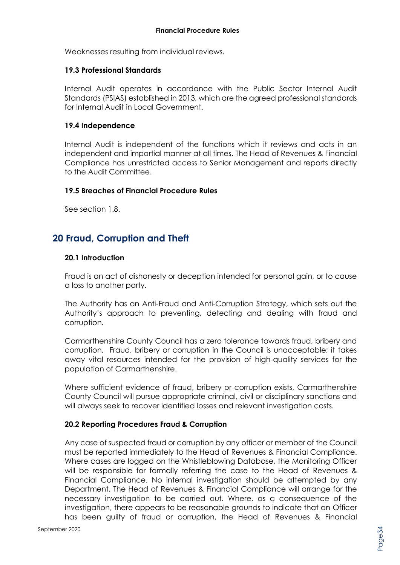Weaknesses resulting from individual reviews.

#### **19.3 Professional Standards**

Internal Audit operates in accordance with the Public Sector Internal Audit Standards (PSIAS) established in 2013, which are the agreed professional standards for Internal Audit in Local Government.

#### **19.4 Independence**

Internal Audit is independent of the functions which it reviews and acts in an independent and impartial manner at all times. The Head of Revenues & Financial Compliance has unrestricted access to Senior Management and reports directly to the Audit Committee.

#### **19.5 Breaches of Financial Procedure Rules**

See section 1.8.

# **20 Fraud, Corruption and Theft**

#### **20.1 Introduction**

Fraud is an act of dishonesty or deception intended for personal gain, or to cause a loss to another party.

The Authority has an Anti-Fraud and Anti-Corruption Strategy, which sets out the Authority's approach to preventing, detecting and dealing with fraud and corruption.

Carmarthenshire County Council has a zero tolerance towards fraud, bribery and corruption. Fraud, bribery or corruption in the Council is unacceptable; it takes away vital resources intended for the provision of high-quality services for the population of Carmarthenshire.

Where sufficient evidence of fraud, bribery or corruption exists, Carmarthenshire County Council will pursue appropriate criminal, civil or disciplinary sanctions and will always seek to recover identified losses and relevant investigation costs.

#### **20.2 Reporting Procedures Fraud & Corruption**

Any case of suspected fraud or corruption by any officer or member of the Council must be reported immediately to the Head of Revenues & Financial Compliance. Where cases are logged on the Whistleblowing Database, the Monitoring Officer will be responsible for formally referring the case to the Head of Revenues & Financial Compliance. No internal investigation should be attempted by any Department. The Head of Revenues & Financial Compliance will arrange for the necessary investigation to be carried out. Where, as a consequence of the investigation, there appears to be reasonable grounds to indicate that an Officer has been guilty of fraud or corruption, the Head of Revenues & Financial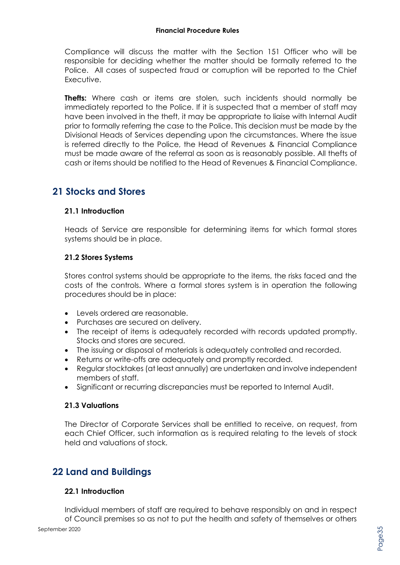Compliance will discuss the matter with the Section 151 Officer who will be responsible for deciding whether the matter should be formally referred to the Police. All cases of suspected fraud or corruption will be reported to the Chief Executive.

**Thefts:** Where cash or items are stolen, such incidents should normally be immediately reported to the Police. If it is suspected that a member of staff may have been involved in the theft, it may be appropriate to liaise with Internal Audit prior to formally referring the case to the Police. This decision must be made by the Divisional Heads of Services depending upon the circumstances. Where the issue is referred directly to the Police, the Head of Revenues & Financial Compliance must be made aware of the referral as soon as is reasonably possible. All thefts of cash or items should be notified to the Head of Revenues & Financial Compliance.

# **21 Stocks and Stores**

#### **21.1 Introduction**

Heads of Service are responsible for determining items for which formal stores systems should be in place.

#### **21.2 Stores Systems**

Stores control systems should be appropriate to the items, the risks faced and the costs of the controls. Where a formal stores system is in operation the following procedures should be in place:

- Levels ordered are reasonable.
- Purchases are secured on delivery.
- The receipt of items is adequately recorded with records updated promptly. Stocks and stores are secured.
- The issuing or disposal of materials is adequately controlled and recorded.
- Returns or write-offs are adequately and promptly recorded.
- Regular stocktakes (at least annually) are undertaken and involve independent members of staff.
- Significant or recurring discrepancies must be reported to Internal Audit.

#### **21.3 Valuations**

The Director of Corporate Services shall be entitled to receive, on request, from each Chief Officer, such information as is required relating to the levels of stock held and valuations of stock.

# **22 Land and Buildings**

#### **22.1 Introduction**

Individual members of staff are required to behave responsibly on and in respect of Council premises so as not to put the health and safety of themselves or others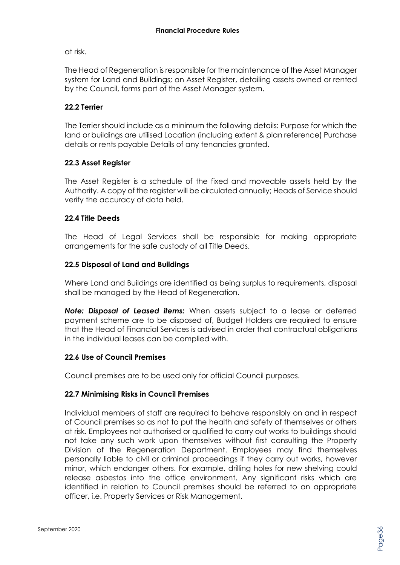at risk.

The Head of Regeneration is responsible for the maintenance of the Asset Manager system for Land and Buildings; an Asset Register, detailing assets owned or rented by the Council, forms part of the Asset Manager system.

#### **22.2 Terrier**

The Terrier should include as a minimum the following details: Purpose for which the land or buildings are utilised Location (including extent & plan reference) Purchase details or rents payable Details of any tenancies granted.

#### **22.3 Asset Register**

The Asset Register is a schedule of the fixed and moveable assets held by the Authority. A copy of the register will be circulated annually; Heads of Service should verify the accuracy of data held.

#### **22.4 Title Deeds**

The Head of Legal Services shall be responsible for making appropriate arrangements for the safe custody of all Title Deeds.

#### **22.5 Disposal of Land and Buildings**

Where Land and Buildings are identified as being surplus to requirements, disposal shall be managed by the Head of Regeneration.

*Note: Disposal of Leased items:* When assets subject to a lease or deferred payment scheme are to be disposed of, Budget Holders are required to ensure that the Head of Financial Services is advised in order that contractual obligations in the individual leases can be complied with.

#### **22.6 Use of Council Premises**

Council premises are to be used only for official Council purposes.

#### **22.7 Minimising Risks in Council Premises**

Individual members of staff are required to behave responsibly on and in respect of Council premises so as not to put the health and safety of themselves or others at risk. Employees not authorised or qualified to carry out works to buildings should not take any such work upon themselves without first consulting the Property Division of the Regeneration Department. Employees may find themselves personally liable to civil or criminal proceedings if they carry out works, however minor, which endanger others. For example, drilling holes for new shelving could release asbestos into the office environment. Any significant risks which are identified in relation to Council premises should be referred to an appropriate officer, i.e. Property Services or Risk Management.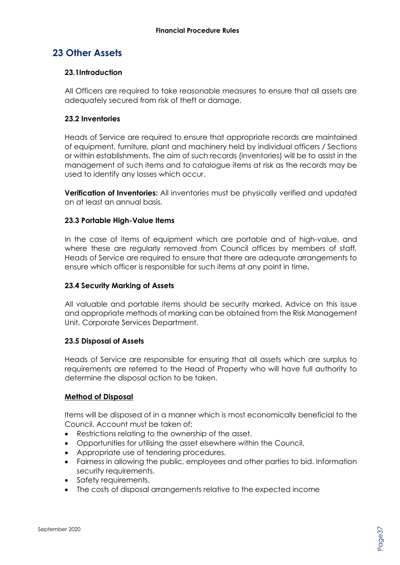# **23 Other Assets**

#### **23.1Introduction**

All Officers are required to take reasonable measures to ensure that all assets are adequately secured from risk of theft or damage.

#### **23.2 Inventories**

Heads of Service are required to ensure that appropriate records are maintained of equipment, furniture, plant and machinery held by individual officers / Sections or within establishments. The aim of such records (inventories) will be to assist in the management of such items and to catalogue items at risk as the records may be used to identify any losses which occur.

**Verification of Inventories:** All inventories must be physically verified and updated on at least an annual basis.

#### **23.3 Portable High-Value Items**

In the case of items of equipment which are portable and of high-value, and where these are regularly removed from Council offices by members of staff, Heads of Service are required to ensure that there are adequate arrangements to ensure which officer is responsible for such items at any point in time**.**

#### **23.4 Security Marking of Assets**

All valuable and portable items should be security marked. Advice on this issue and appropriate methods of marking can be obtained from the Risk Management Unit, Corporate Services Department.

#### **23.5 Disposal of Assets**

Heads of Service are responsible for ensuring that all assets which are surplus to requirements are referred to the Head of Property who will have full authority to determine the disposal action to be taken.

#### **Method of Disposal**

Items will be disposed of in a manner which is most economically beneficial to the Council. Account must be taken of:

- Restrictions relating to the ownership of the asset.
- Opportunities for utilising the asset elsewhere within the Council.
- Appropriate use of tendering procedures.
- Fairness in allowing the public, employees and other parties to bid. Information security requirements.
- Safety requirements.
- The costs of disposal arrangements relative to the expected income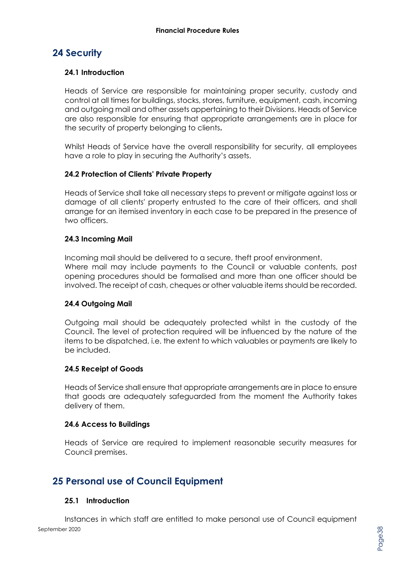# **24 Security**

#### **24.1 Introduction**

Heads of Service are responsible for maintaining proper security, custody and control at all times for buildings, stocks, stores, furniture, equipment, cash, incoming and outgoing mail and other assets appertaining to their Divisions. Heads of Service are also responsible for ensuring that appropriate arrangements are in place for the security of property belonging to clients**.**

Whilst Heads of Service have the overall responsibility for security, all employees have a role to play in securing the Authority's assets.

#### **24.2 Protection of Clients' Private Property**

Heads of Service shall take all necessary steps to prevent or mitigate against loss or damage of all clients' property entrusted to the care of their officers, and shall arrange for an itemised inventory in each case to be prepared in the presence of two officers.

#### **24.3 Incoming Mail**

Incoming mail should be delivered to a secure, theft proof environment. Where mail may include payments to the Council or valuable contents, post opening procedures should be formalised and more than one officer should be involved. The receipt of cash, cheques or other valuable items should be recorded.

#### **24.4 Outgoing Mail**

Outgoing mail should be adequately protected whilst in the custody of the Council. The level of protection required will be influenced by the nature of the items to be dispatched, i.e. the extent to which valuables or payments are likely to be included.

#### **24.5 Receipt of Goods**

Heads of Service shall ensure that appropriate arrangements are in place to ensure that goods are adequately safeguarded from the moment the Authority takes delivery of them.

#### **24.6 Access to Buildings**

Heads of Service are required to implement reasonable security measures for Council premises.

# **25 Personal use of Council Equipment**

#### **25.1 Introduction**

September 2020 Instances in which staff are entitled to make personal use of Council equipment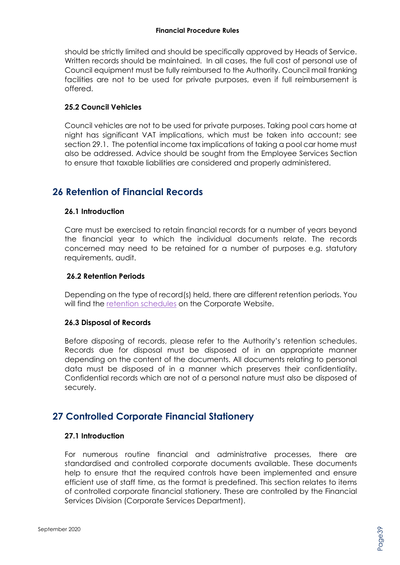should be strictly limited and should be specifically approved by Heads of Service. Written records should be maintained. In all cases, the full cost of personal use of Council equipment must be fully reimbursed to the Authority. Council mail franking facilities are not to be used for private purposes, even if full reimbursement is offered.

#### **25.2 Council Vehicles**

Council vehicles are not to be used for private purposes. Taking pool cars home at night has significant VAT implications, which must be taken into account; see section 29.1. The potential income tax implications of taking a pool car home must also be addressed. Advice should be sought from the Employee Services Section to ensure that taxable liabilities are considered and properly administered.

# **26 Retention of Financial Records**

#### **26.1 Introduction**

Care must be exercised to retain financial records for a number of years beyond the financial year to which the individual documents relate. The records concerned may need to be retained for a number of purposes e.g. statutory requirements, audit.

#### **26.2 Retention Periods**

Depending on the type of record(s) held, there are different retention periods. You will find the [retention schedules](https://www.carmarthenshire.gov.wales/home/council-democracy/data-protection/how-long-we-keep-records/#accordion1) on the Corporate Website.

#### **26.3 Disposal of Records**

Before disposing of records, please refer to the Authority's retention schedules. Records due for disposal must be disposed of in an appropriate manner depending on the content of the documents. All documents relating to personal data must be disposed of in a manner which preserves their confidentiality. Confidential records which are not of a personal nature must also be disposed of securely.

# **27 Controlled Corporate Financial Stationery**

#### **27.1 Introduction**

For numerous routine financial and administrative processes, there are standardised and controlled corporate documents available. These documents help to ensure that the required controls have been implemented and ensure efficient use of staff time, as the format is predefined. This section relates to items of controlled corporate financial stationery. These are controlled by the Financial Services Division (Corporate Services Department).